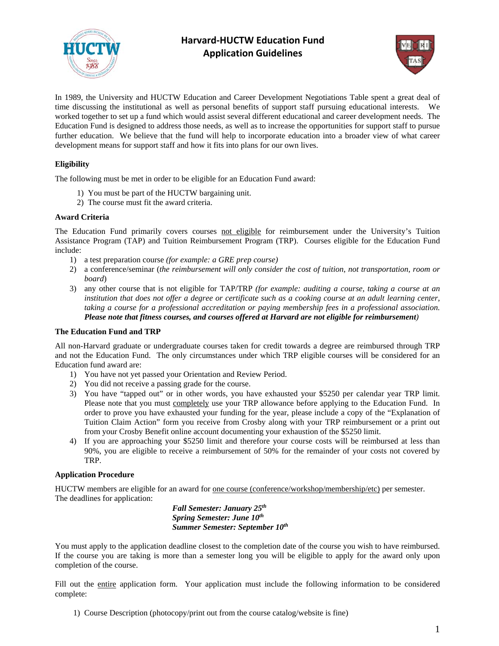

# **Harvard‐HUCTW Education Fund Application Guidelines**



In 1989, the University and HUCTW Education and Career Development Negotiations Table spent a great deal of time discussing the institutional as well as personal benefits of support staff pursuing educational interests. We worked together to set up a fund which would assist several different educational and career development needs. The Education Fund is designed to address those needs, as well as to increase the opportunities for support staff to pursue further education. We believe that the fund will help to incorporate education into a broader view of what career development means for support staff and how it fits into plans for our own lives.

# **Eligibility**

The following must be met in order to be eligible for an Education Fund award:

- 1) You must be part of the HUCTW bargaining unit.
- 2) The course must fit the award criteria.

### **Award Criteria**

The Education Fund primarily covers courses not eligible for reimbursement under the University's Tuition Assistance Program (TAP) and Tuition Reimbursement Program (TRP). Courses eligible for the Education Fund include:

- 1) a test preparation course *(for example: a GRE prep course)*
- 2) a conference/seminar (*the reimbursement will only consider the cost of tuition*, *not transportation, room or board*)
- 3) any other course that is not eligible for TAP/TRP *(for example: auditing a course, taking a course at an institution that does not offer a degree or certificate such as a cooking course at an adult learning center, taking a course for a professional accreditation or paying membership fees in a professional association. Please note that fitness courses, and courses offered at Harvard are not eligible for reimbursement)*

# **The Education Fund and TRP**

All non-Harvard graduate or undergraduate courses taken for credit towards a degree are reimbursed through TRP and not the Education Fund. The only circumstances under which TRP eligible courses will be considered for an Education fund award are:

- 1) You have not yet passed your Orientation and Review Period.
- 2) You did not receive a passing grade for the course.
- 3) You have "tapped out" or in other words, you have exhausted your \$5250 per calendar year TRP limit. Please note that you must completely use your TRP allowance before applying to the Education Fund. In order to prove you have exhausted your funding for the year, please include a copy of the "Explanation of Tuition Claim Action" form you receive from Crosby along with your TRP reimbursement or a print out from your Crosby Benefit online account documenting your exhaustion of the \$5250 limit.
- If you are approaching your \$5250 limit and therefore your course costs will be reimbursed at less than 90%, you are eligible to receive a reimbursement of 50% for the remainder of your costs not covered by TRP.

# **Application Procedure**

HUCTW members are eligible for an award for <u>one course (conference/workshop/membership/etc</u>) per semester. The deadlines for application:

 *Fall Semester: January 25th Spring Semester: June 10th Summer Semester: September 10th*

You must apply to the application deadline closest to the completion date of the course you wish to have reimbursed. If the course you are taking is more than a semester long you will be eligible to apply for the award only upon completion of the course.

Fill out the entire application form. Your application must include the following information to be considered complete:

1) Course Description (photocopy/print out from the course catalog/website is fine)